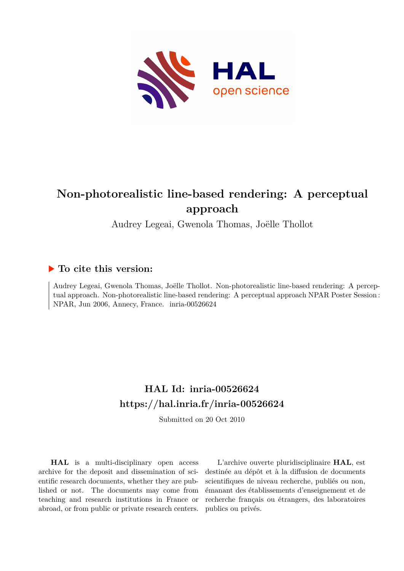

#### **Non-photorealistic line-based rendering: A perceptual approach**

Audrey Legeai, Gwenola Thomas, Joëlle Thollot

#### **To cite this version:**

Audrey Legeai, Gwenola Thomas, Joëlle Thollot. Non-photorealistic line-based rendering: A perceptual approach. Non-photorealistic line-based rendering: A perceptual approach NPAR Poster Session : NPAR, Jun 2006, Annecy, France. inria-00526624

#### **HAL Id: inria-00526624 <https://hal.inria.fr/inria-00526624>**

Submitted on 20 Oct 2010

**HAL** is a multi-disciplinary open access archive for the deposit and dissemination of scientific research documents, whether they are published or not. The documents may come from teaching and research institutions in France or abroad, or from public or private research centers.

L'archive ouverte pluridisciplinaire **HAL**, est destinée au dépôt et à la diffusion de documents scientifiques de niveau recherche, publiés ou non, émanant des établissements d'enseignement et de recherche français ou étrangers, des laboratoires publics ou privés.